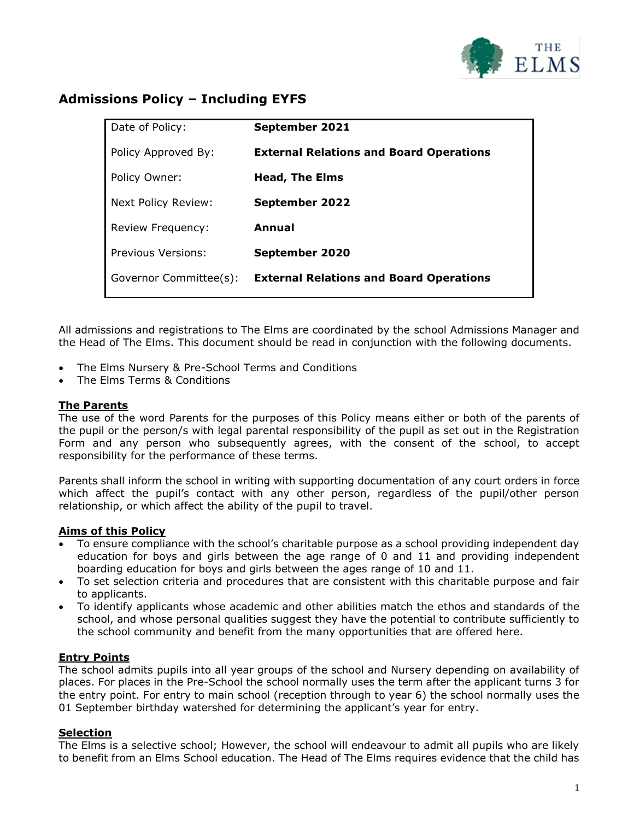

# **Admissions Policy – Including EYFS**

| Date of Policy:        | September 2021                                 |
|------------------------|------------------------------------------------|
| Policy Approved By:    | <b>External Relations and Board Operations</b> |
| Policy Owner:          | <b>Head, The Elms</b>                          |
| Next Policy Review:    | <b>September 2022</b>                          |
| Review Frequency:      | Annual                                         |
| Previous Versions:     | September 2020                                 |
| Governor Committee(s): | <b>External Relations and Board Operations</b> |
|                        |                                                |

All admissions and registrations to The Elms are coordinated by the school Admissions Manager and the Head of The Elms. This document should be read in conjunction with the following documents.

- The Elms Nursery & Pre-School Terms and Conditions
- The Elms Terms & Conditions

### **The Parents**

The use of the word Parents for the purposes of this Policy means either or both of the parents of the pupil or the person/s with legal parental responsibility of the pupil as set out in the Registration Form and any person who subsequently agrees, with the consent of the school, to accept responsibility for the performance of these terms.

Parents shall inform the school in writing with supporting documentation of any court orders in force which affect the pupil's contact with any other person, regardless of the pupil/other person relationship, or which affect the ability of the pupil to travel.

### **Aims of this Policy**

- To ensure compliance with the school's charitable purpose as a school providing independent day education for boys and girls between the age range of 0 and 11 and providing independent boarding education for boys and girls between the ages range of 10 and 11.
- To set selection criteria and procedures that are consistent with this charitable purpose and fair to applicants.
- To identify applicants whose academic and other abilities match the ethos and standards of the school, and whose personal qualities suggest they have the potential to contribute sufficiently to the school community and benefit from the many opportunities that are offered here.

## **Entry Points**

The school admits pupils into all year groups of the school and Nursery depending on availability of places. For places in the Pre-School the school normally uses the term after the applicant turns 3 for the entry point. For entry to main school (reception through to year 6) the school normally uses the 01 September birthday watershed for determining the applicant's year for entry.

### **Selection**

The Elms is a selective school; However, the school will endeavour to admit all pupils who are likely to benefit from an Elms School education. The Head of The Elms requires evidence that the child has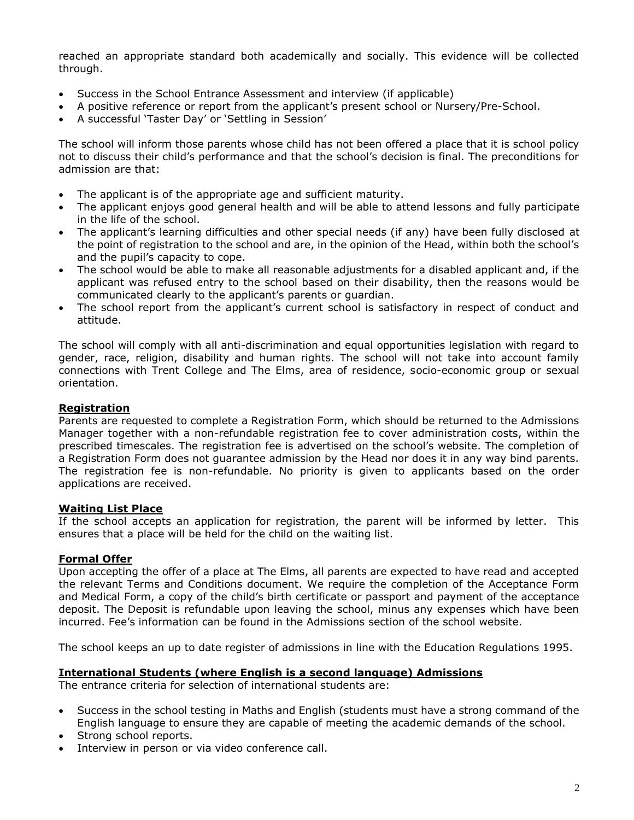reached an appropriate standard both academically and socially. This evidence will be collected through.

- Success in the School Entrance Assessment and interview (if applicable)
- A positive reference or report from the applicant's present school or Nursery/Pre-School.
- A successful 'Taster Day' or 'Settling in Session'

The school will inform those parents whose child has not been offered a place that it is school policy not to discuss their child's performance and that the school's decision is final. The preconditions for admission are that:

- The applicant is of the appropriate age and sufficient maturity.
- The applicant enjoys good general health and will be able to attend lessons and fully participate in the life of the school.
- The applicant's learning difficulties and other special needs (if any) have been fully disclosed at the point of registration to the school and are, in the opinion of the Head, within both the school's and the pupil's capacity to cope.
- The school would be able to make all reasonable adjustments for a disabled applicant and, if the applicant was refused entry to the school based on their disability, then the reasons would be communicated clearly to the applicant's parents or guardian.
- The school report from the applicant's current school is satisfactory in respect of conduct and attitude.

The school will comply with all anti-discrimination and equal opportunities legislation with regard to gender, race, religion, disability and human rights. The school will not take into account family connections with Trent College and The Elms, area of residence, socio-economic group or sexual orientation.

### **Registration**

Parents are requested to complete a Registration Form, which should be returned to the Admissions Manager together with a non-refundable registration fee to cover administration costs, within the prescribed timescales. The registration fee is advertised on the school's website. The completion of a Registration Form does not guarantee admission by the Head nor does it in any way bind parents. The registration fee is non-refundable. No priority is given to applicants based on the order applications are received.

### **Waiting List Place**

If the school accepts an application for registration, the parent will be informed by letter. This ensures that a place will be held for the child on the waiting list.

### **Formal Offer**

Upon accepting the offer of a place at The Elms, all parents are expected to have read and accepted the relevant Terms and Conditions document. We require the completion of the Acceptance Form and Medical Form, a copy of the child's birth certificate or passport and payment of the acceptance deposit. The Deposit is refundable upon leaving the school, minus any expenses which have been incurred. Fee's information can be found in the Admissions section of the school website.

The school keeps an up to date register of admissions in line with the Education Regulations 1995.

### **International Students (where English is a second language) Admissions**

The entrance criteria for selection of international students are:

- Success in the school testing in Maths and English (students must have a strong command of the English language to ensure they are capable of meeting the academic demands of the school.
- Strong school reports.
- Interview in person or via video conference call.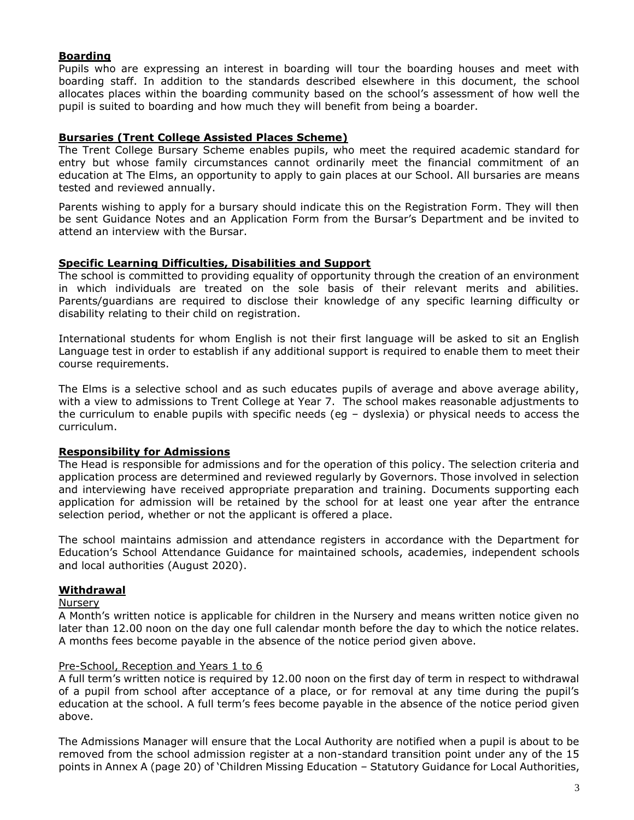### **Boarding**

Pupils who are expressing an interest in boarding will tour the boarding houses and meet with boarding staff. In addition to the standards described elsewhere in this document, the school allocates places within the boarding community based on the school's assessment of how well the pupil is suited to boarding and how much they will benefit from being a boarder.

### **Bursaries (Trent College Assisted Places Scheme)**

The Trent College Bursary Scheme enables pupils, who meet the required academic standard for entry but whose family circumstances cannot ordinarily meet the financial commitment of an education at The Elms, an opportunity to apply to gain places at our School. All bursaries are means tested and reviewed annually.

Parents wishing to apply for a bursary should indicate this on the Registration Form. They will then be sent Guidance Notes and an Application Form from the Bursar's Department and be invited to attend an interview with the Bursar.

#### **Specific Learning Difficulties, Disabilities and Support**

The school is committed to providing equality of opportunity through the creation of an environment in which individuals are treated on the sole basis of their relevant merits and abilities. Parents/guardians are required to disclose their knowledge of any specific learning difficulty or disability relating to their child on registration.

International students for whom English is not their first language will be asked to sit an English Language test in order to establish if any additional support is required to enable them to meet their course requirements.

The Elms is a selective school and as such educates pupils of average and above average ability, with a view to admissions to Trent College at Year 7. The school makes reasonable adjustments to the curriculum to enable pupils with specific needs (eg – dyslexia) or physical needs to access the curriculum.

### **Responsibility for Admissions**

The Head is responsible for admissions and for the operation of this policy. The selection criteria and application process are determined and reviewed regularly by Governors. Those involved in selection and interviewing have received appropriate preparation and training. Documents supporting each application for admission will be retained by the school for at least one year after the entrance selection period, whether or not the applicant is offered a place.

The school maintains admission and attendance registers in accordance with the Department for Education's School Attendance Guidance for maintained schools, academies, independent schools and local authorities (August 2020).

### **Withdrawal**

#### **Nursery**

A Month's written notice is applicable for children in the Nursery and means written notice given no later than 12.00 noon on the day one full calendar month before the day to which the notice relates. A months fees become payable in the absence of the notice period given above.

### Pre-School, Reception and Years 1 to 6

A full term's written notice is required by 12.00 noon on the first day of term in respect to withdrawal of a pupil from school after acceptance of a place, or for removal at any time during the pupil's education at the school. A full term's fees become payable in the absence of the notice period given above.

The Admissions Manager will ensure that the Local Authority are notified when a pupil is about to be removed from the school admission register at a non-standard transition point under any of the 15 points in Annex A (page 20) of 'Children Missing Education – Statutory Guidance for Local Authorities,